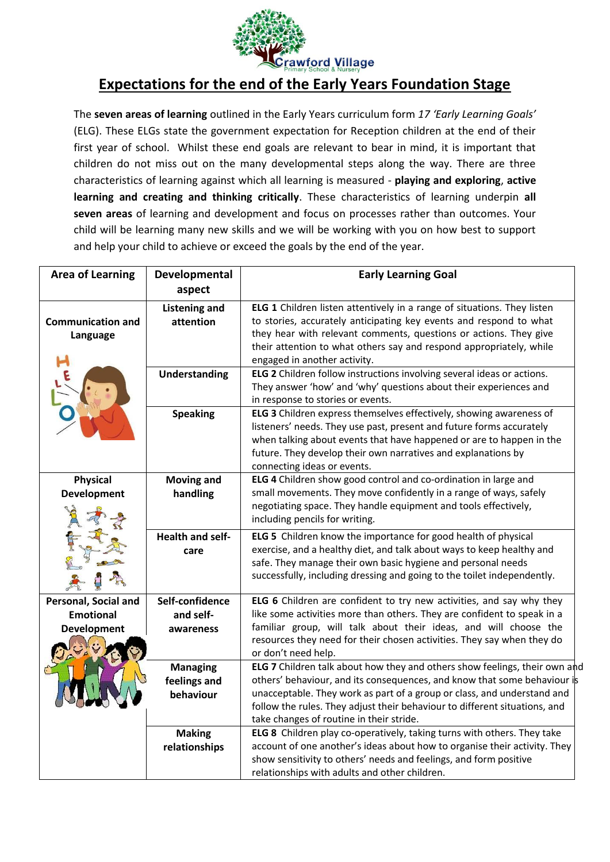

## **Expectations for the end of the Early Years Foundation Stage**

The **seven areas of learning** outlined in the Early Years curriculum form *17 'Early Learning Goals'*  (ELG). These ELGs state the government expectation for Reception children at the end of their first year of school. Whilst these end goals are relevant to bear in mind, it is important that children do not miss out on the many developmental steps along the way. There are three characteristics of learning against which all learning is measured - **playing and exploring**, **active learning and creating and thinking critically**. These characteristics of learning underpin **all seven areas** of learning and development and focus on processes rather than outcomes. Your child will be learning many new skills and we will be working with you on how best to support and help your child to achieve or exceed the goals by the end of the year.

| <b>Area of Learning</b>              | Developmental                                | <b>Early Learning Goal</b>                                                                                                                                                                                                                                                                                                                                         |
|--------------------------------------|----------------------------------------------|--------------------------------------------------------------------------------------------------------------------------------------------------------------------------------------------------------------------------------------------------------------------------------------------------------------------------------------------------------------------|
|                                      | aspect                                       |                                                                                                                                                                                                                                                                                                                                                                    |
| <b>Communication and</b><br>Language | <b>Listening and</b><br>attention            | ELG 1 Children listen attentively in a range of situations. They listen<br>to stories, accurately anticipating key events and respond to what<br>they hear with relevant comments, questions or actions. They give<br>their attention to what others say and respond appropriately, while<br>engaged in another activity.                                          |
|                                      | <b>Understanding</b>                         | ELG 2 Children follow instructions involving several ideas or actions.<br>They answer 'how' and 'why' questions about their experiences and<br>in response to stories or events.                                                                                                                                                                                   |
|                                      | <b>Speaking</b>                              | ELG 3 Children express themselves effectively, showing awareness of<br>listeners' needs. They use past, present and future forms accurately<br>when talking about events that have happened or are to happen in the<br>future. They develop their own narratives and explanations by<br>connecting ideas or events.                                                |
| <b>Physical</b>                      | <b>Moving and</b>                            | ELG 4 Children show good control and co-ordination in large and                                                                                                                                                                                                                                                                                                    |
| <b>Development</b>                   | handling                                     | small movements. They move confidently in a range of ways, safely<br>negotiating space. They handle equipment and tools effectively,<br>including pencils for writing.                                                                                                                                                                                             |
|                                      | <b>Health and self-</b><br>care              | ELG 5 Children know the importance for good health of physical<br>exercise, and a healthy diet, and talk about ways to keep healthy and<br>safe. They manage their own basic hygiene and personal needs<br>successfully, including dressing and going to the toilet independently.                                                                                 |
| Personal, Social and                 | Self-confidence                              | ELG 6 Children are confident to try new activities, and say why they                                                                                                                                                                                                                                                                                               |
| <b>Emotional</b>                     | and self-                                    | like some activities more than others. They are confident to speak in a                                                                                                                                                                                                                                                                                            |
| <b>Development</b>                   | awareness                                    | familiar group, will talk about their ideas, and will choose the<br>resources they need for their chosen activities. They say when they do<br>or don't need help.                                                                                                                                                                                                  |
|                                      | <b>Managing</b><br>feelings and<br>behaviour | <b>ELG 7</b> Children talk about how they and others show feelings, their own and<br>others' behaviour, and its consequences, and know that some behaviour is<br>unacceptable. They work as part of a group or class, and understand and<br>follow the rules. They adjust their behaviour to different situations, and<br>take changes of routine in their stride. |
|                                      | <b>Making</b><br>relationships               | ELG 8 Children play co-operatively, taking turns with others. They take<br>account of one another's ideas about how to organise their activity. They<br>show sensitivity to others' needs and feelings, and form positive<br>relationships with adults and other children.                                                                                         |